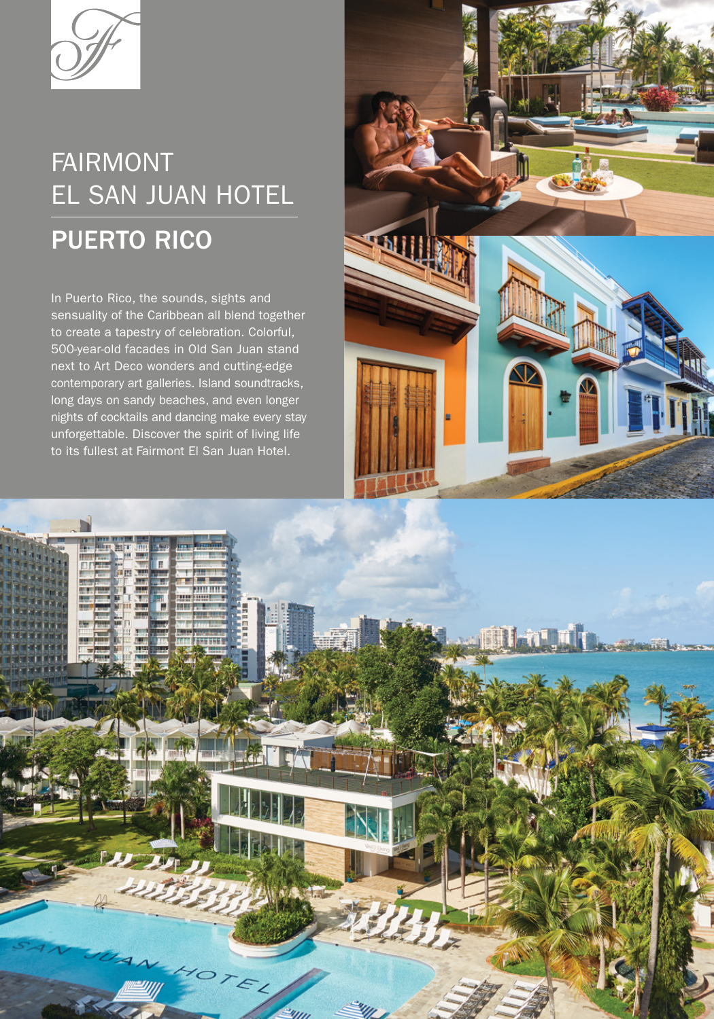

# **FAIRMONT** EL SAN JUAN HOTEL

## PUERTO RICO

In Puerto Rico, the sounds, sights and sensuality of the Caribbean all blend together to create a tapestry of celebration. Colorful, 500-year-old facades in Old San Juan stand next to Art Deco wonders and cutting-edge contemporary art galleries. Island soundtracks, long days on sandy beaches, and even longer nights of cocktails and dancing make every stay unforgettable. Discover the spirit of living life to its fullest at Fairmont El San Juan Hotel.